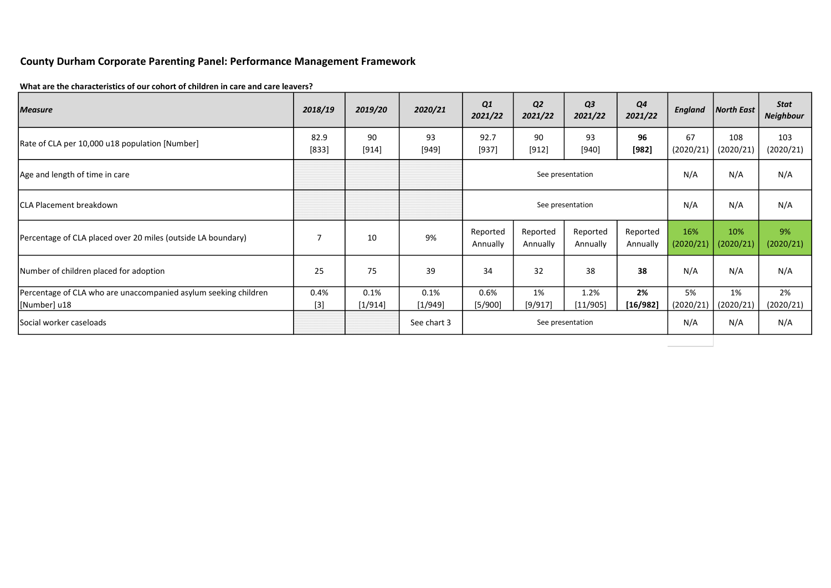# County Durham Corporate Parenting Panel: Performance Management Framework

### What are the characteristics of our cohort of children in care and care leavers?

| <b>Measure</b>                                                                  | 2018/19        | 2019/20         | 2020/21           | Q1<br>2021/22        | Q <sub>2</sub><br>2021/22 | Q <sub>3</sub><br>2021/22 | Q4<br>2021/22        | England          | North East       | Stat<br><b>Neighbour</b> |
|---------------------------------------------------------------------------------|----------------|-----------------|-------------------|----------------------|---------------------------|---------------------------|----------------------|------------------|------------------|--------------------------|
| Rate of CLA per 10,000 u18 population [Number]                                  | 82.9<br>[833]  | 90<br>[914]     | 93<br>[949]       | 92.7<br>$[937]$      | 90<br>[912]               | 93<br>[940]               | 96<br>$[982]$        | 67<br>(2020/21)  | 108<br>(2020/21) | 103<br>(2020/21)         |
| Age and length of time in care                                                  |                |                 |                   |                      |                           | See presentation          | N/A                  | N/A              | N/A              |                          |
| ICLA Placement breakdown                                                        |                |                 |                   |                      |                           | See presentation          | N/A                  | N/A              | N/A              |                          |
| Percentage of CLA placed over 20 miles (outside LA boundary)                    | $\overline{7}$ | 10              | 9%                | Reported<br>Annually | Reported<br>Annually      | Reported<br>Annually      | Reported<br>Annually | 16%<br>(2020/21) | 10%<br>(2020/21) | 9%<br>(2020/21)          |
| Number of children placed for adoption                                          | 25             | 75              | 39                | 34                   | 32                        | 38                        | 38                   | N/A              | N/A              | N/A                      |
| Percentage of CLA who are unaccompanied asylum seeking children<br>[Number] u18 | 0.4%<br>$[3]$  | 0.1%<br>[1/914] | 0.1%<br>$[1/949]$ | 0.6%<br>[5/900]      | 1%<br>[9/917]             | 1.2%<br>[11/905]          | 2%<br>[16/982]       | 5%<br>(2020/21)  | 1%<br>(2020/21)  | 2%<br>(2020/21)          |
| lSocial worker caseloads                                                        |                |                 | See chart 3       |                      |                           | See presentation          | N/A                  | N/A              | N/A              |                          |
|                                                                                 |                |                 |                   |                      |                           |                           |                      |                  |                  |                          |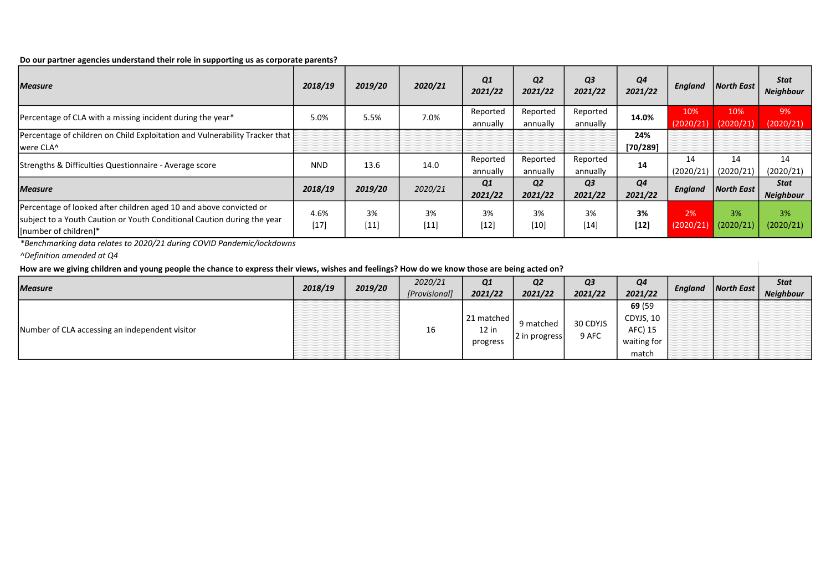### Do our partner agencies understand their role in supporting us as corporate parents?

| <b>Measure</b>                                                                                                                                                          | 2018/19        | 2019/20      | 2020/21      | Q1<br>2021/22        | Q <sub>2</sub><br>2021/22 | Q <sub>3</sub><br>2021/22 | Q4<br>2021/22             | England          | <b>North East</b> | Stat<br><b>Neighbour</b>        |
|-------------------------------------------------------------------------------------------------------------------------------------------------------------------------|----------------|--------------|--------------|----------------------|---------------------------|---------------------------|---------------------------|------------------|-------------------|---------------------------------|
| Percentage of CLA with a missing incident during the year*                                                                                                              | 5.0%           | 5.5%         | 7.0%         | Reported<br>annually | Reported<br>annually      | Reported<br>annually      | 14.0%                     | 10%<br>(2020/21) | 10%<br>(2020/21)  | 9%<br>(2020/21)                 |
| Percentage of children on Child Exploitation and Vulnerability Tracker that<br>Iwere CLA^                                                                               |                |              |              |                      |                           |                           | 24%<br>[70/289]           |                  |                   |                                 |
| Strengths & Difficulties Questionnaire - Average score                                                                                                                  | <b>NND</b>     | 13.6         | 14.0         | Reported<br>annually | Reported<br>annually      | Reported<br>annually      | 14                        | 14<br>(2020/21)  | 14<br>(2020/21)   | 14<br>(2020/21)                 |
| <b>Measure</b>                                                                                                                                                          | 2018/19        | 2019/20      | 2020/21      | Q1<br>2021/22        | Q <sub>2</sub><br>2021/22 | Q <sub>3</sub><br>2021/22 | Q <sub>4</sub><br>2021/22 | <b>England</b>   | <b>North East</b> | <b>Stat</b><br><b>Neighbour</b> |
| Percentage of looked after children aged 10 and above convicted or<br>subject to a Youth Caution or Youth Conditional Caution during the year<br>[Inumber of children]* | 4.6%<br>$[17]$ | 3%<br>$[11]$ | 3%<br>$[11]$ | 3%<br>$[12]$         | 3%<br>$[10]$              | 3%<br>$[14]$              | 3%<br>$[12]$              | 2%<br>(2020/21)  | 3%<br>(2020/21)   | 3%<br>(2020/21)                 |

\*Benchmarking data relates to 2020/21 during COVID Pandemic/lockdowns

^Definition amended at Q4

## How are we giving children and young people the chance to express their views, wishes and feelings? How do we know those are being acted on?

| <i>Measure</i>                                 | 2018/19 | 2019/20 | 2020/21<br>[Provisional] | Q1<br>2021/22                     | Q <sub>2</sub><br>2021/22  | Q3<br>2021/22     | Q4<br>2021/22                                          | England | $\vert$ North East $\vert$ | <b>Stat</b><br><b>Neighbour</b> |
|------------------------------------------------|---------|---------|--------------------------|-----------------------------------|----------------------------|-------------------|--------------------------------------------------------|---------|----------------------------|---------------------------------|
| Number of CLA accessing an independent visitor |         |         | 16                       | 21 matched<br>$12$ in<br>progress | 9 matched<br>2 in progress | 30 CDYJS<br>9 AFC | 69 (59<br>CDYJS, 10<br>AFC) 15<br>waiting for<br>match |         |                            |                                 |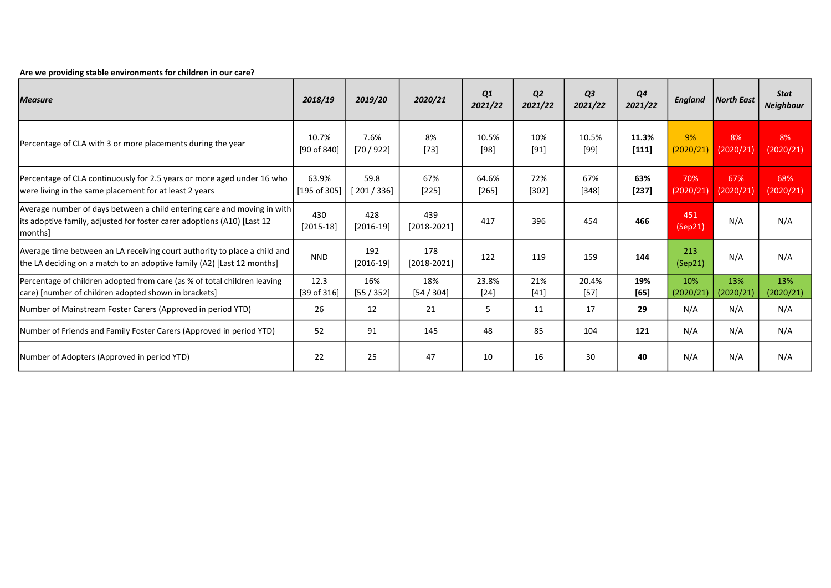### Are we providing stable environments for children in our care?

| <b>Measure</b>                                                                                                                                                   | 2018/19               | 2019/20              | 2020/21              | Q1<br>2021/22    | <b>Q2</b><br>2021/22 | Q <sub>3</sub><br>2021/22 | Q4<br>2021/22  | England          | North East       | <b>Stat</b><br><b>Neighbour</b> |
|------------------------------------------------------------------------------------------------------------------------------------------------------------------|-----------------------|----------------------|----------------------|------------------|----------------------|---------------------------|----------------|------------------|------------------|---------------------------------|
| Percentage of CLA with 3 or more placements during the year                                                                                                      | 10.7%<br>[90 of 840]  | 7.6%<br>[70/922]     | 8%<br>$[73]$         | 10.5%<br>$[98]$  | 10%<br>$[91]$        | 10.5%<br>$[99]$           | 11.3%<br>[111] | 9%<br>(2020/21)  | 8%<br>(2020/21)  | 8%<br>(2020/21)                 |
| Percentage of CLA continuously for 2.5 years or more aged under 16 who<br>were living in the same placement for at least 2 years                                 | 63.9%<br>[195 of 305] | 59.8<br>[ 201 / 336] | 67%<br>$[225]$       | 64.6%<br>$[265]$ | 72%<br>$[302]$       | 67%<br>$[348]$            | 63%<br>$[237]$ | 70%<br>(2020/21) | 67%<br>(2020/21) | 68%<br>(2020/21)                |
| Average number of days between a child entering care and moving in with<br>lits adoptive family, adjusted for foster carer adoptions (A10) [Last 12]<br>[months] | 430<br>$[2015-18]$    | 428<br>$[2016-19]$   | 439<br>$[2018-2021]$ | 417              | 396                  | 454                       | 466            | 451<br>(Sep21)   | N/A              | N/A                             |
| Average time between an LA receiving court authority to place a child and<br>the LA deciding on a match to an adoptive family (A2) [Last 12 months]              | <b>NND</b>            | 192<br>$[2016-19]$   | 178<br>$[2018-2021]$ | 122              | 119                  | 159                       | 144            | 213<br>(Sep21)   | N/A              | N/A                             |
| Percentage of children adopted from care (as % of total children leaving<br>care) [number of children adopted shown in brackets]                                 | 12.3<br>[39 of 316]   | 16%<br>[55/352]      | 18%<br>[54 / 304]    | 23.8%<br>$[24]$  | 21%<br>$[41]$        | 20.4%<br>$[57]$           | 19%<br>[65]    | 10%<br>(2020/21) | 13%<br>(2020/21) | 13%<br>(2020/21)                |
| Number of Mainstream Foster Carers (Approved in period YTD)                                                                                                      | 26                    | 12                   | 21                   | 5                | 11                   | 17                        | 29             | N/A              | N/A              | N/A                             |
| Number of Friends and Family Foster Carers (Approved in period YTD)                                                                                              | 52                    | 91                   | 145                  | 48               | 85                   | 104                       | 121            | N/A              | N/A              | N/A                             |
| [Number of Adopters (Approved in period YTD)                                                                                                                     | 22                    | 25                   | 47                   | 10               | 16                   | 30                        | 40             | N/A              | N/A              | N/A                             |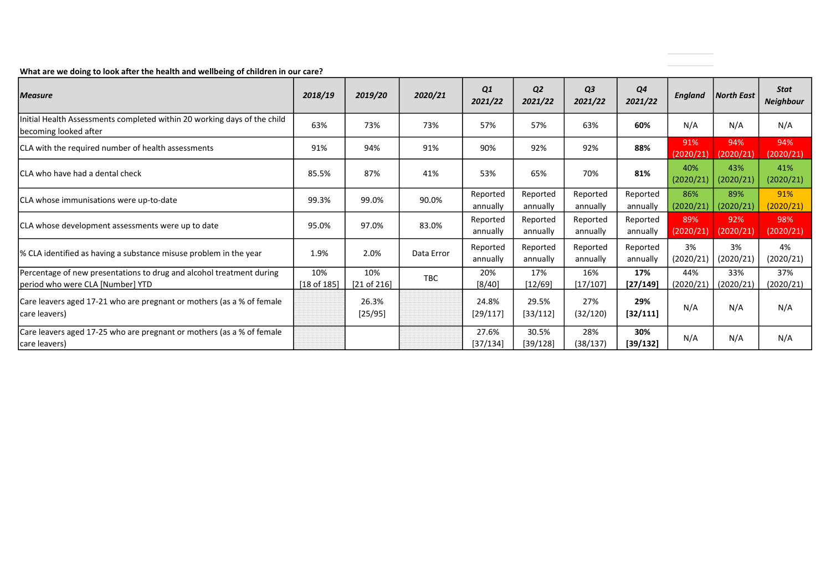What are we doing to look after the health and wellbeing of children in our care?

| <i>Measure</i>                                                                                           | 2018/19                | 2019/20            | 2020/21    | Q1<br>2021/22        | Q <sub>2</sub><br>2021/22 | Q <sub>3</sub><br>2021/22 | Q <sub>4</sub><br>2021/22 | <b>England</b>   | <b>North East</b> | <b>Stat</b><br><b>Neighbour</b> |
|----------------------------------------------------------------------------------------------------------|------------------------|--------------------|------------|----------------------|---------------------------|---------------------------|---------------------------|------------------|-------------------|---------------------------------|
| Initial Health Assessments completed within 20 working days of the child<br>becoming looked after        | 63%                    | 73%                | 73%        | 57%                  | 57%                       | 63%                       | 60%                       | N/A              | N/A               | N/A                             |
| CLA with the required number of health assessments                                                       | 91%                    | 94%                | 91%        | 90%                  | 92%                       | 92%                       | 88%                       | 91%<br>(2020/21) | 94%<br>(2020/21)  | 94%<br>(2020/21)                |
| ICLA who have had a dental check                                                                         | 85.5%                  | 87%                | 41%        | 53%                  | 65%                       | 70%                       | 81%                       | 40%<br>(2020/21) | 43%<br>(2020/21)  | 41%<br>(2020/21)                |
| CLA whose immunisations were up-to-date                                                                  | 99.3%                  | 99.0%              | 90.0%      | Reported<br>annually | Reported<br>annually      | Reported<br>annually      | Reported<br>annually      | 86%<br>(2020/21) | 89%<br>(2020/21)  | 91%<br>(2020/21)                |
| CLA whose development assessments were up to date                                                        | 95.0%                  | 97.0%              | 83.0%      | Reported<br>annually | Reported<br>annually      | Reported<br>annually      | Reported<br>annually      | 89%<br>(2020/21) | 92%<br>(2020/21)  | 98%<br>(2020/21)                |
| % CLA identified as having a substance misuse problem in the year                                        | 1.9%                   | 2.0%               | Data Error | Reported<br>annually | Reported<br>annually      | Reported<br>annually      | Reported<br>annually      | 3%<br>(2020/21)  | 3%<br>(2020/21)   | 4%<br>(2020/21)                 |
| Percentage of new presentations to drug and alcohol treatment during<br>period who were CLA [Number] YTD | 10%<br>$[18$ of $185]$ | 10%<br>[21 of 216] | TBC        | 20%<br>[8/40]        | 17%<br>[12/69]            | 16%<br>[17/107]           | 17%<br>[27/149]           | 44%<br>(2020/21) | 33%<br>(2020/21)  | 37%<br>(2020/21)                |
| Care leavers aged 17-21 who are pregnant or mothers (as a % of female<br>care leavers)                   |                        | 26.3%<br>[25/95]   |            | 24.8%<br>[29/117]    | 29.5%<br>[33/112]         | 27%<br>(32/120)           | 29%<br>[32/111]           | N/A              | N/A               | N/A                             |
| Care leavers aged 17-25 who are pregnant or mothers (as a % of female<br>care leavers)                   |                        |                    |            | 27.6%<br>[37/134]    | 30.5%<br>[39/128]         | 28%<br>(38/137)           | 30%<br>[39/132]           | N/A              | N/A               | N/A                             |